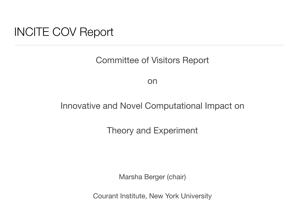### INCITE COV Report

Committee of Visitors Report

on

### Innovative and Novel Computational Impact on

### Theory and Experiment

Marsha Berger (chair)

Courant Institute, New York University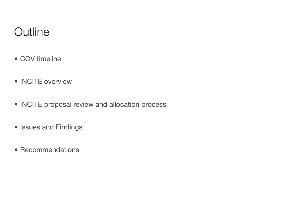# **Outline**

- COV timeline
- **INCITE** overview
- INCITE proposal review and allocation process
- Issues and Findings
- Recommendations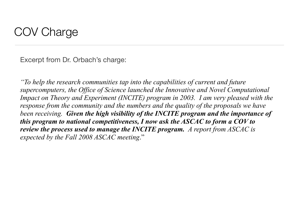Excerpt from Dr. Orbach's charge:

*"To help the research communities tap into the capabilities of current and future supercomputers, the Office of Science launched the Innovative and Novel Computational Impact on Theory and Experiment (INCITE) program in 2003. I am very pleased with the response from the community and the numbers and the quality of the proposals we have been receiving. Given the high visibility of the INCITE program and the importance of this program to national competitiveness, I now ask the ASCAC to form a COV to review the process used to manage the INCITE program. A report from ASCAC is expected by the Fall 2008 ASCAC meeting*."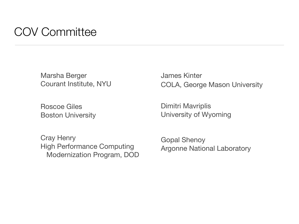## COV Committee

Marsha Berger Courant Institute, NYU

Roscoe Giles Boston University

Cray Henry High Performance Computing Modernization Program, DOD James Kinter COLA, George Mason University

Dimitri Mavriplis University of Wyoming

Gopal Shenoy Argonne National Laboratory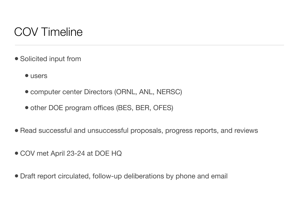# COV Timeline

- Solicited input from
	- users
	- computer center Directors (ORNL, ANL, NERSC)
	- other DOE program offices (BES, BER, OFES)
- Read successful and unsuccessful proposals, progress reports, and reviews
- COV met April 23-24 at DOE HQ
- Draft report circulated, follow-up deliberations by phone and email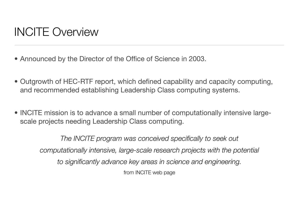- Announced by the Director of the Office of Science in 2003.
- Outgrowth of HEC-RTF report, which defined capability and capacity computing, and recommended establishing Leadership Class computing systems.
- INCITE mission is to advance a small number of computationally intensive largescale projects needing Leadership Class computing.

*The INCITE program was conceived specifically to seek out*  computationally intensive, large-scale research projects with the potential *to significantly advance key areas in science and engineering.* from INCITE web page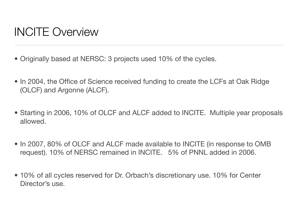- Originally based at NERSC: 3 projects used 10% of the cycles.
- In 2004, the Office of Science received funding to create the LCFs at Oak Ridge (OLCF) and Argonne (ALCF).
- Starting in 2006, 10% of OLCF and ALCF added to INCITE. Multiple year proposals allowed.
- In 2007, 80% of OLCF and ALCF made available to INCITE (in response to OMB request). 10% of NERSC remained in INCITE. 5% of PNNL added in 2006.
- 10% of all cycles reserved for Dr. Orbach's discretionary use. 10% for Center Director's use.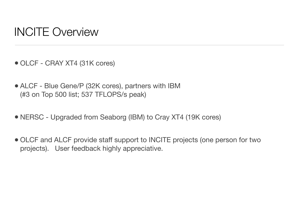- OLCF CRAY XT4 (31K cores)
- ALCF Blue Gene/P (32K cores), partners with IBM (#3 on Top 500 list; 537 TFLOPS/s peak)
- NERSC Upgraded from Seaborg (IBM) to Cray XT4 (19K cores)
- OLCF and ALCF provide staff support to INCITE projects (one person for two projects). User feedback highly appreciative.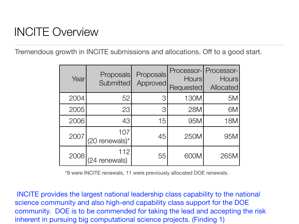Tremendous growth in INCITE submissions and allocations. Off to a good start.

| Year | <b>Proposals</b><br>Submitted       | Proposals<br>Approved | Processor-<br><b>Hours</b><br>Requested | Processor-<br><b>Hours</b><br>Allocated |
|------|-------------------------------------|-----------------------|-----------------------------------------|-----------------------------------------|
| 2004 | 52                                  | 3                     | 130M                                    | 5M                                      |
| 2005 | 23                                  | З                     | <b>28M</b>                              | 6M                                      |
| 2006 | 43                                  | 15                    | 95M                                     | <b>18M</b>                              |
| 2007 | 107<br>$(20$ renewals) <sup>*</sup> | 45                    | 250M                                    | 95M                                     |
| 2008 | 112<br>renewals)                    | 55                    | 600M                                    | 265M                                    |

\*9 were INCITE renewals, 11 were previously allocated DOE renewals.

 INCITE provides the largest national leadership class capability to the national science community and also high-end capability class support for the DOE community. DOE is to be commended for taking the lead and accepting the risk inherent in pursuing big computational science projects. (Finding 1)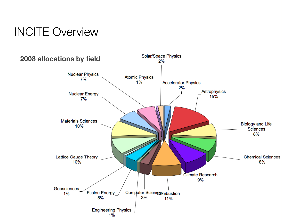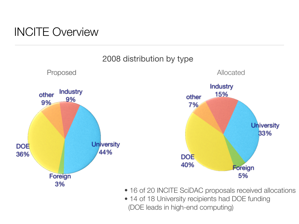





- 16 of 20 INCITE SciDAC proposals received allocations
- 14 of 18 University recipients had DOE funding (DOE leads in high-end computing)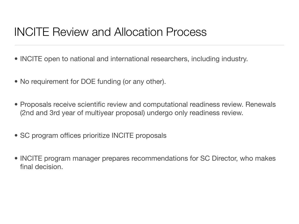### INCITE Review and Allocation Process

- INCITE open to national and international researchers, including industry.
- No requirement for DOE funding (or any other).
- Proposals receive scientific review and computational readiness review. Renewals (2nd and 3rd year of multiyear proposal) undergo only readiness review.
- SC program offices prioritize INCITE proposals
- INCITE program manager prepares recommendations for SC Director, who makes final decision.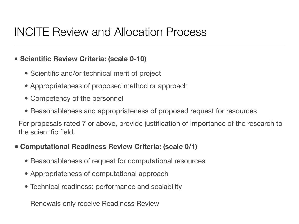### INCITE Review and Allocation Process

#### **• Scientific Review Criteria: (scale 0-10)**

- Scientific and/or technical merit of project
- Appropriateness of proposed method or approach
- Competency of the personnel
- Reasonableness and appropriateness of proposed request for resources

For proposals rated 7 or above, provide justification of importance of the research to the scientific field.

#### **• Computational Readiness Review Criteria: (scale 0/1)**

- Reasonableness of request for computational resources
- Appropriateness of computational approach
- Technical readiness: performance and scalability

Renewals only receive Readiness Review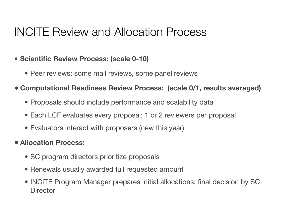### INCITE Review and Allocation Process

#### **• Scientific Review Process: (scale 0-10)**

- Peer reviews: some mail reviews, some panel reviews
- **• Computational Readiness Review Process: (scale 0/1, results averaged)**
	- Proposals should include performance and scalability data
	- Each LCF evaluates every proposal; 1 or 2 reviewers per proposal
	- Evaluators interact with proposers (new this year)

#### **• Allocation Process:**

- SC program directors prioritize proposals
- Renewals usually awarded full requested amount
- INCITE Program Manager prepares initial allocations; final decision by SC **Director**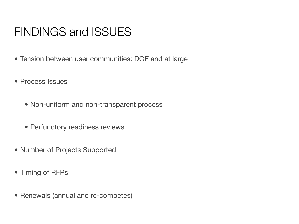## FINDINGS and ISSUES

- Tension between user communities: DOE and at large
- Process Issues
	- Non-uniform and non-transparent process
	- Perfunctory readiness reviews
- Number of Projects Supported
- Timing of RFPs
- Renewals (annual and re-competes)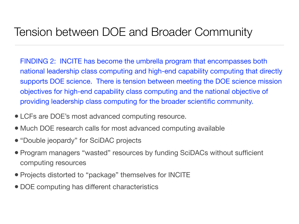## Tension between DOE and Broader Community

FINDING 2: INCITE has become the umbrella program that encompasses both national leadership class computing and high-end capability computing that directly supports DOE science. There is tension between meeting the DOE science mission objectives for high-end capability class computing and the national objective of providing leadership class computing for the broader scientific community.

- LCFs are DOE's most advanced computing resource.
- Much DOE research calls for most advanced computing available
- "Double jeopardy" for SciDAC projects
- Program managers "wasted" resources by funding SciDACs without sufficient computing resources
- Projects distorted to "package" themselves for INCITE
- DOE computing has different characteristics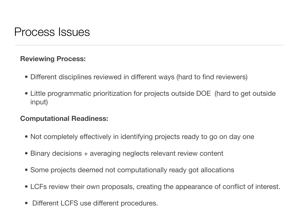### Process Issues

#### **Reviewing Process:**

- Different disciplines reviewed in different ways (hard to find reviewers)
- Little programmatic prioritization for projects outside DOE (hard to get outside input)

#### **Computational Readiness:**

- Not completely effectively in identifying projects ready to go on day one
- Binary decisions + averaging neglects relevant review content
- Some projects deemed not computationally ready got allocations
- LCFs review their own proposals, creating the appearance of conflict of interest.
- Different LCFS use different procedures.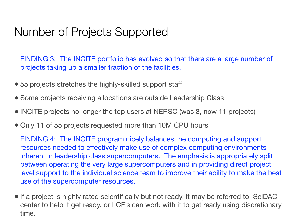### Number of Projects Supported

FINDING 3: The INCITE portfolio has evolved so that there are a large number of projects taking up a smaller fraction of the facilities.

- 55 projects stretches the highly-skilled support staff
- Some projects receiving allocations are outside Leadership Class
- INCITE projects no longer the top users at NERSC (was 3, now 11 projects)
- Only 11 of 55 projects requested more than 10M CPU hours

FINDING 4: The INCITE program nicely balances the computing and support resources needed to effectively make use of complex computing environments inherent in leadership class supercomputers. The emphasis is appropriately split between operating the very large supercomputers and in providing direct project level support to the individual science team to improve their ability to make the best use of the supercomputer resources.

• If a project is highly rated scientifically but not ready, it may be referred to SciDAC center to help it get ready, or LCF's can work with it to get ready using discretionary time.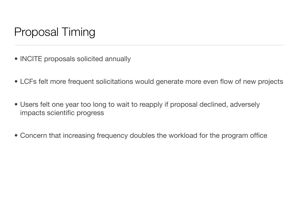# Proposal Timing

- INCITE proposals solicited annually
- LCFs felt more frequent solicitations would generate more even flow of new projects
- Users felt one year too long to wait to reapply if proposal declined, adversely impacts scientific progress
- Concern that increasing frequency doubles the workload for the program office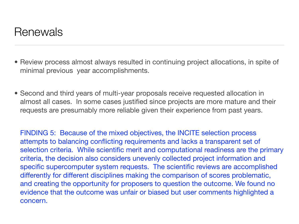### Renewals

- Review process almost always resulted in continuing project allocations, in spite of minimal previous year accomplishments.
- Second and third years of multi-year proposals receive requested allocation in almost all cases. In some cases justified since projects are more mature and their requests are presumably more reliable given their experience from past years.

FINDING 5: Because of the mixed objectives, the INCITE selection process attempts to balancing conflicting requirements and lacks a transparent set of selection criteria. While scientific merit and computational readiness are the primary criteria, the decision also considers unevenly collected project information and specific supercomputer system requests. The scientific reviews are accomplished differently for different disciplines making the comparison of scores problematic, and creating the opportunity for proposers to question the outcome. We found no evidence that the outcome was unfair or biased but user comments highlighted a concern.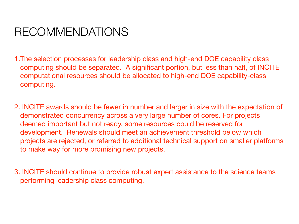# RECOMMENDATIONS

- 1.The selection processes for leadership class and high-end DOE capability class computing should be separated. A significant portion, but less than half, of INCITE computational resources should be allocated to high-end DOE capability-class computing.
- 2. INCITE awards should be fewer in number and larger in size with the expectation of demonstrated concurrency across a very large number of cores. For projects deemed important but not ready, some resources could be reserved for development. Renewals should meet an achievement threshold below which projects are rejected, or referred to additional technical support on smaller platforms to make way for more promising new projects.
- 3. INCITE should continue to provide robust expert assistance to the science teams performing leadership class computing.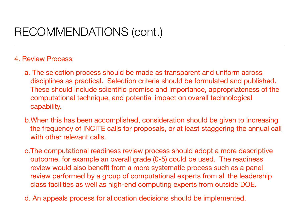# RECOMMENDATIONS (cont.)

#### 4. Review Process:

- a. The selection process should be made as transparent and uniform across disciplines as practical. Selection criteria should be formulated and published. These should include scientific promise and importance, appropriateness of the computational technique, and potential impact on overall technological capability.
- b.When this has been accomplished, consideration should be given to increasing the frequency of INCITE calls for proposals, or at least staggering the annual call with other relevant calls.
- c.The computational readiness review process should adopt a more descriptive outcome, for example an overall grade (0-5) could be used. The readiness review would also benefit from a more systematic process such as a panel review performed by a group of computational experts from all the leadership class facilities as well as high-end computing experts from outside DOE.
- d. An appeals process for allocation decisions should be implemented.